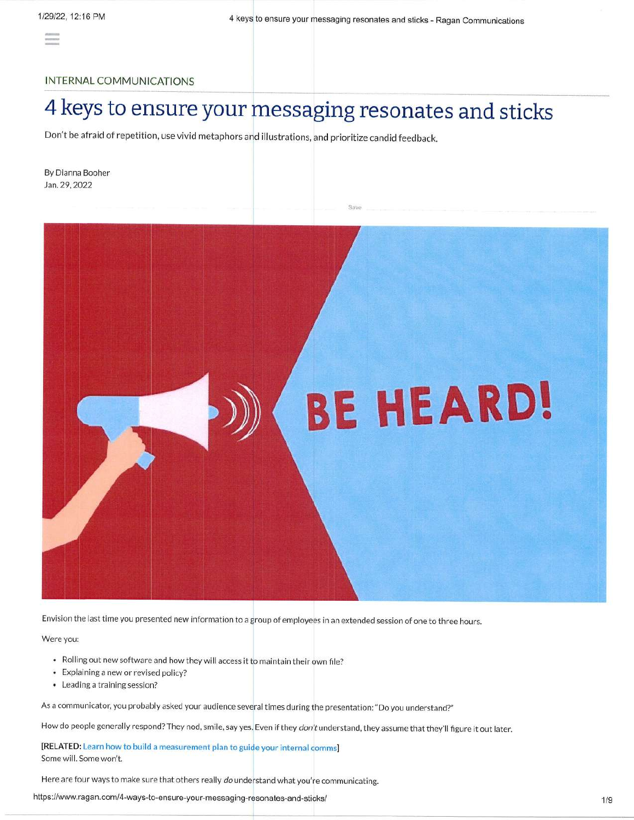# INTERNAL COMMUNICATIONS

# 4 keys to ensure your messaging resonates and sticks

Don't be afraid of repetition, use vivid metaphors and illustrations, and prioritize candid feedback,

By Dianna Booher Jan.29.2022



Envision the last time you presented new information to a group of employees in an extended session of one to three hours.

Were you:

- $\bullet$  Rolling out new software and how they will access it to maintain their own file?
- . Explaining a new or revised policy?
- Leading a training session?

As a communicator, you probably asked your audience several times during the presentation: "Do you understand?"

How do people generally respond? They nod, smile, say yes. Even if they don't understand, they assume that they'll figure it out later.

[RELATED: Learn how to build a measurement plan to guide your internal comms Some will. Some won't.

Here are four ways to make sure that others really do understand what you're communicating.

https://www.ragan.com/4-ways-to-ensure-your-messaging-resonates-and-sticks/ the common common common common type of the common type of the common type of the common type of the common type of the common type of the common